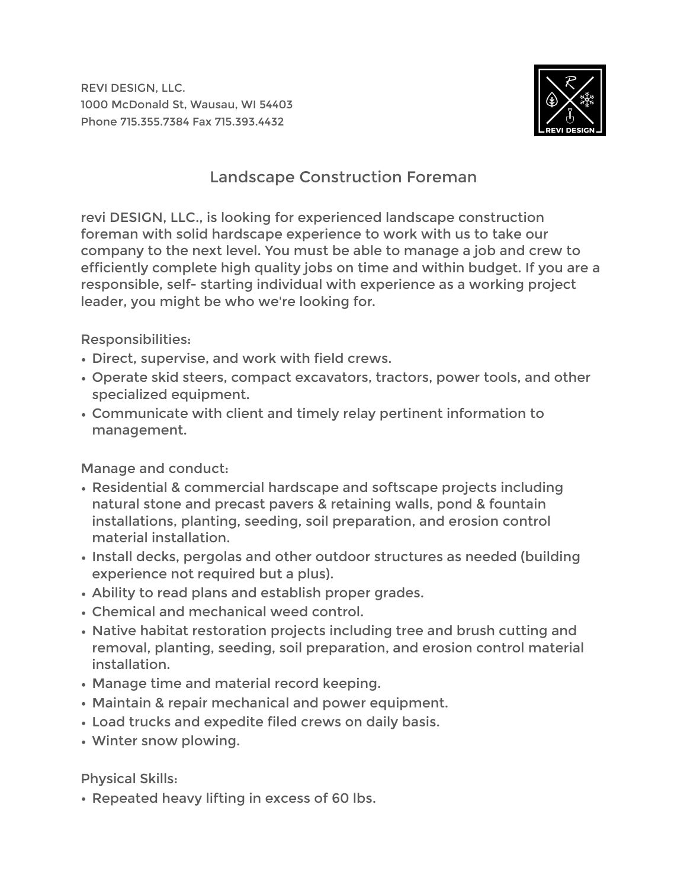REVI DESIGN, LLC. 1000 McDonald St, Wausau, WI 54403 Phone 715.355.7384 Fax 715.393.4432



## Landscape Construction Foreman

revi DESIGN, LLC., is looking for experienced landscape construction foreman with solid hardscape experience to work with us to take our company to the next level. You must be able to manage a job and crew to efficiently complete high quality jobs on time and within budget. If you are a responsible, self- starting individual with experience as a working project leader, you might be who we're looking for.

Responsibilities:

- Direct, supervise, and work with field crews.
- Operate skid steers, compact excavators, tractors, power tools, and other specialized equipment.
- Communicate with client and timely relay pertinent information to management.

Manage and conduct:

- Residential & commercial hardscape and softscape projects including natural stone and precast pavers & retaining walls, pond & fountain installations, planting, seeding, soil preparation, and erosion control material installation.
- Install decks, pergolas and other outdoor structures as needed (building experience not required but a plus).
- Ability to read plans and establish proper grades.
- Chemical and mechanical weed control.
- Native habitat restoration projects including tree and brush cutting and removal, planting, seeding, soil preparation, and erosion control material installation.
- Manage time and material record keeping.
- Maintain & repair mechanical and power equipment.
- Load trucks and expedite filed crews on daily basis.
- Winter snow plowing.

Physical Skills:

• Repeated heavy lifting in excess of 60 lbs.